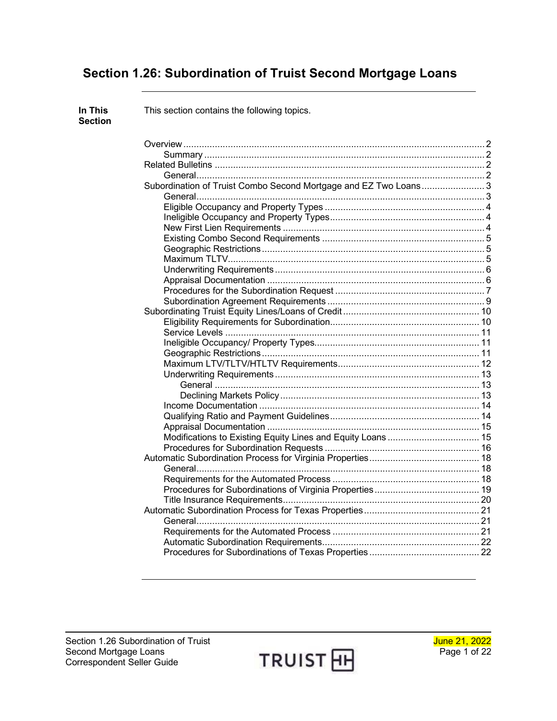# **Section 1.26: Subordination of Truist Second Mortgage Loans**

| In This<br><b>Section</b> | This section contains the following topics. |  |
|---------------------------|---------------------------------------------|--|
|                           |                                             |  |
|                           |                                             |  |
|                           |                                             |  |
|                           |                                             |  |
|                           |                                             |  |
|                           |                                             |  |
|                           |                                             |  |
|                           |                                             |  |
|                           |                                             |  |
|                           |                                             |  |
|                           |                                             |  |
|                           |                                             |  |
|                           |                                             |  |
|                           |                                             |  |
|                           |                                             |  |
|                           |                                             |  |
|                           |                                             |  |
|                           |                                             |  |
|                           |                                             |  |
|                           |                                             |  |
|                           |                                             |  |
|                           |                                             |  |
|                           |                                             |  |
|                           |                                             |  |
|                           |                                             |  |
|                           |                                             |  |
|                           |                                             |  |
|                           |                                             |  |
|                           |                                             |  |
|                           |                                             |  |
|                           |                                             |  |
|                           |                                             |  |
|                           |                                             |  |
|                           |                                             |  |
|                           |                                             |  |
|                           |                                             |  |
|                           |                                             |  |
|                           |                                             |  |
|                           |                                             |  |
|                           |                                             |  |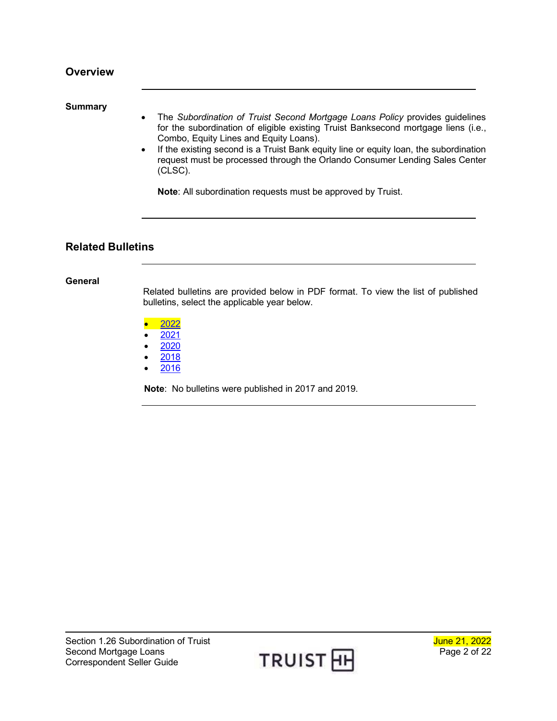#### <span id="page-1-1"></span><span id="page-1-0"></span>**Summary**

- The *Subordination of Truist Second Mortgage Loans Policy* provides guidelines for the subordination of eligible existing Truist Banksecond mortgage liens (i.e., Combo, Equity Lines and Equity Loans).
- If the existing second is a Truist Bank equity line or equity loan, the subordination request must be processed through the Orlando Consumer Lending Sales Center (CLSC).

**Note**: All subordination requests must be approved by Truist.

### <span id="page-1-2"></span>**Related Bulletins**

#### <span id="page-1-3"></span>**General**

Related bulletins are provided below in PDF format. To view the list of published bulletins, select the applicable year below.

- [2022](http://www.truistsellerguide.com/manual/cor/bulletins/related%20bulletins/2022/CSubordofSunTrustSecondMortgages2022.pdf)
- [2021](http://www.truistsellerguide.com/manual/cor/bulletins/related%20bulletins/2021/CSubordofSunTrustSecondMortgages2021.pdf)
- [2020](http://www.truistsellerguide.com/manual/cor/bulletins/related%20bulletins/2020/CSubordofSunTrustSecondMortgages2020.pdf)
- [2018](http://www.truistsellerguide.com/manual/cor/bulletins/related%20bulletins/2018/CSubordofSunTrustSecondMortgages2018.pdf)
- [2016](http://www.truistsellerguide.com/manual/cor/bulletins/related%20bulletins/2016/CSubordofSunTrustSecondMortgages2016.pdf)

**Note**: No bulletins were published in 2017 and 2019.

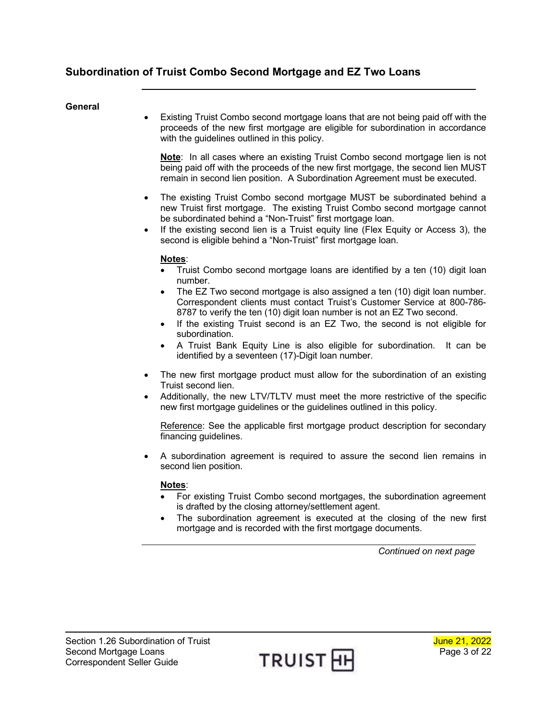#### <span id="page-2-1"></span><span id="page-2-0"></span>**General**

• Existing Truist Combo second mortgage loans that are not being paid off with the proceeds of the new first mortgage are eligible for subordination in accordance with the guidelines outlined in this policy.

**Note**: In all cases where an existing Truist Combo second mortgage lien is not being paid off with the proceeds of the new first mortgage, the second lien MUST remain in second lien position. A Subordination Agreement must be executed.

- The existing Truist Combo second mortgage MUST be subordinated behind a new Truist first mortgage. The existing Truist Combo second mortgage cannot be subordinated behind a "Non-Truist" first mortgage loan.
- If the existing second lien is a Truist equity line (Flex Equity or Access 3), the second is eligible behind a "Non-Truist" first mortgage loan.

#### **Notes**:

- Truist Combo second mortgage loans are identified by a ten (10) digit loan number.
- The EZ Two second mortgage is also assigned a ten (10) digit loan number. Correspondent clients must contact Truist's Customer Service at 800-786- 8787 to verify the ten (10) digit loan number is not an EZ Two second.
- If the existing Truist second is an EZ Two, the second is not eligible for subordination.
- A Truist Bank Equity Line is also eligible for subordination. It can be identified by a seventeen (17)-Digit loan number.
- The new first mortgage product must allow for the subordination of an existing Truist second lien.
- Additionally, the new LTV/TLTV must meet the more restrictive of the specific new first mortgage guidelines or the guidelines outlined in this policy.

Reference: See the applicable first mortgage product description for secondary financing guidelines.

• A subordination agreement is required to assure the second lien remains in second lien position.

#### **Notes**:

- For existing Truist Combo second mortgages, the subordination agreement is drafted by the closing attorney/settlement agent.
- The subordination agreement is executed at the closing of the new first mortgage and is recorded with the first mortgage documents.

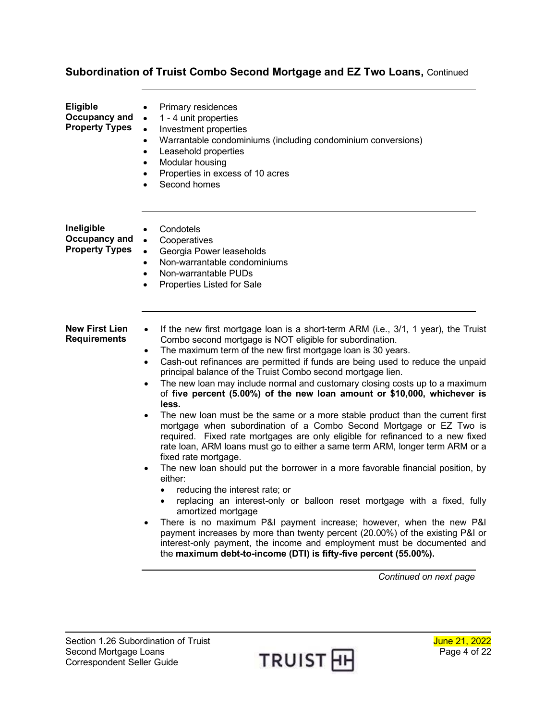<span id="page-3-2"></span><span id="page-3-1"></span><span id="page-3-0"></span>

| <b>Eligible</b><br>Occupancy and<br><b>Property Types</b> | Primary residences<br>$\bullet$<br>1 - 4 unit properties<br>$\bullet$<br>$\bullet$<br>Investment properties<br>Warrantable condominiums (including condominium conversions)<br>$\bullet$<br>Leasehold properties<br>$\bullet$<br>Modular housing<br>$\bullet$<br>Properties in excess of 10 acres<br>$\bullet$<br>Second homes<br>$\bullet$                                                                                                                                                                                                                                                                                                                                                                                                                                                                                                                                                                                                                                                                                                                                                                                                                                                                                                                                                                                                                                                                                                                                                                                                         |
|-----------------------------------------------------------|-----------------------------------------------------------------------------------------------------------------------------------------------------------------------------------------------------------------------------------------------------------------------------------------------------------------------------------------------------------------------------------------------------------------------------------------------------------------------------------------------------------------------------------------------------------------------------------------------------------------------------------------------------------------------------------------------------------------------------------------------------------------------------------------------------------------------------------------------------------------------------------------------------------------------------------------------------------------------------------------------------------------------------------------------------------------------------------------------------------------------------------------------------------------------------------------------------------------------------------------------------------------------------------------------------------------------------------------------------------------------------------------------------------------------------------------------------------------------------------------------------------------------------------------------------|
| Ineligible<br>Occupancy and<br><b>Property Types</b>      | Condotels<br>$\bullet$<br>Cooperatives<br>$\bullet$<br>Georgia Power leaseholds<br>$\bullet$<br>Non-warrantable condominiums<br>$\bullet$<br>Non-warrantable PUDs<br>$\bullet$<br>Properties Listed for Sale<br>$\bullet$                                                                                                                                                                                                                                                                                                                                                                                                                                                                                                                                                                                                                                                                                                                                                                                                                                                                                                                                                                                                                                                                                                                                                                                                                                                                                                                           |
| <b>New First Lien</b><br><b>Requirements</b>              | If the new first mortgage loan is a short-term ARM (i.e., 3/1, 1 year), the Truist<br>$\bullet$<br>Combo second mortgage is NOT eligible for subordination.<br>The maximum term of the new first mortgage loan is 30 years.<br>$\bullet$<br>Cash-out refinances are permitted if funds are being used to reduce the unpaid<br>$\bullet$<br>principal balance of the Truist Combo second mortgage lien.<br>The new loan may include normal and customary closing costs up to a maximum<br>$\bullet$<br>of five percent (5.00%) of the new loan amount or \$10,000, whichever is<br>less.<br>The new loan must be the same or a more stable product than the current first<br>$\bullet$<br>mortgage when subordination of a Combo Second Mortgage or EZ Two is<br>required. Fixed rate mortgages are only eligible for refinanced to a new fixed<br>rate loan, ARM loans must go to either a same term ARM, longer term ARM or a<br>fixed rate mortgage.<br>The new loan should put the borrower in a more favorable financial position, by<br>$\bullet$<br>either:<br>reducing the interest rate; or<br>$\bullet$<br>replacing an interest-only or balloon reset mortgage with a fixed, fully<br>$\bullet$<br>amortized mortgage<br>There is no maximum P&I payment increase; however, when the new P&I<br>$\bullet$<br>payment increases by more than twenty percent (20.00%) of the existing P&I or<br>interest-only payment, the income and employment must be documented and<br>the maximum debt-to-income (DTI) is fifty-five percent (55.00%). |

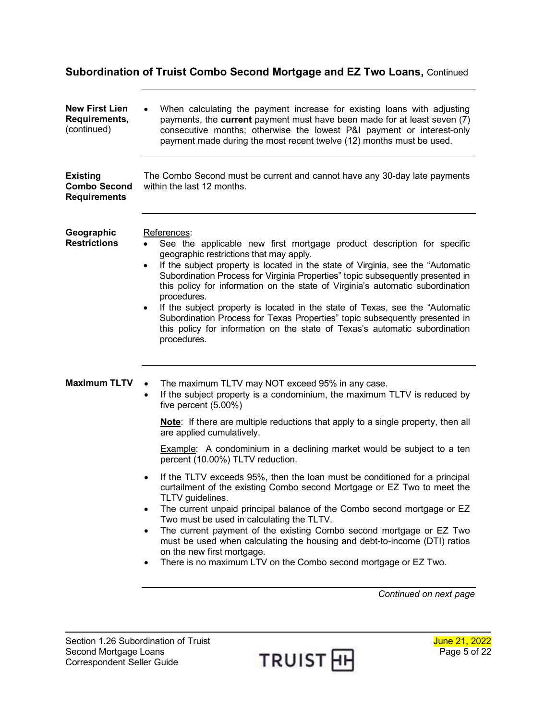<span id="page-4-2"></span><span id="page-4-1"></span><span id="page-4-0"></span>

| <b>New First Lien</b><br>Requirements,<br>(continued)         | When calculating the payment increase for existing loans with adjusting<br>payments, the current payment must have been made for at least seven (7)<br>consecutive months; otherwise the lowest P&I payment or interest-only<br>payment made during the most recent twelve (12) months must be used.                                                                                                                                                                                                                                                                                                                                                                                                                                                                                                                                                                                                                                                              |  |  |  |  |
|---------------------------------------------------------------|-------------------------------------------------------------------------------------------------------------------------------------------------------------------------------------------------------------------------------------------------------------------------------------------------------------------------------------------------------------------------------------------------------------------------------------------------------------------------------------------------------------------------------------------------------------------------------------------------------------------------------------------------------------------------------------------------------------------------------------------------------------------------------------------------------------------------------------------------------------------------------------------------------------------------------------------------------------------|--|--|--|--|
| <b>Existing</b><br><b>Combo Second</b><br><b>Requirements</b> | The Combo Second must be current and cannot have any 30-day late payments<br>within the last 12 months.                                                                                                                                                                                                                                                                                                                                                                                                                                                                                                                                                                                                                                                                                                                                                                                                                                                           |  |  |  |  |
| Geographic<br><b>Restrictions</b>                             | References:<br>See the applicable new first mortgage product description for specific<br>geographic restrictions that may apply.<br>If the subject property is located in the state of Virginia, see the "Automatic<br>$\bullet$<br>Subordination Process for Virginia Properties" topic subsequently presented in<br>this policy for information on the state of Virginia's automatic subordination<br>procedures.<br>If the subject property is located in the state of Texas, see the "Automatic<br>٠<br>Subordination Process for Texas Properties" topic subsequently presented in<br>this policy for information on the state of Texas's automatic subordination<br>procedures.                                                                                                                                                                                                                                                                             |  |  |  |  |
| <b>Maximum TLTV</b>                                           | The maximum TLTV may NOT exceed 95% in any case.<br>If the subject property is a condominium, the maximum TLTV is reduced by<br>$\bullet$<br>five percent (5.00%)<br>Note: If there are multiple reductions that apply to a single property, then all<br>are applied cumulatively.<br><b>Example:</b> A condominium in a declining market would be subject to a ten<br>percent (10.00%) TLTV reduction.<br>If the TLTV exceeds 95%, then the loan must be conditioned for a principal<br>curtailment of the existing Combo second Mortgage or EZ Two to meet the<br>TLTV guidelines.<br>The current unpaid principal balance of the Combo second mortgage or EZ<br>Two must be used in calculating the TLTV.<br>The current payment of the existing Combo second mortgage or EZ Two<br>must be used when calculating the housing and debt-to-income (DTI) ratios<br>on the new first mortgage.<br>There is no maximum LTV on the Combo second mortgage or EZ Two. |  |  |  |  |

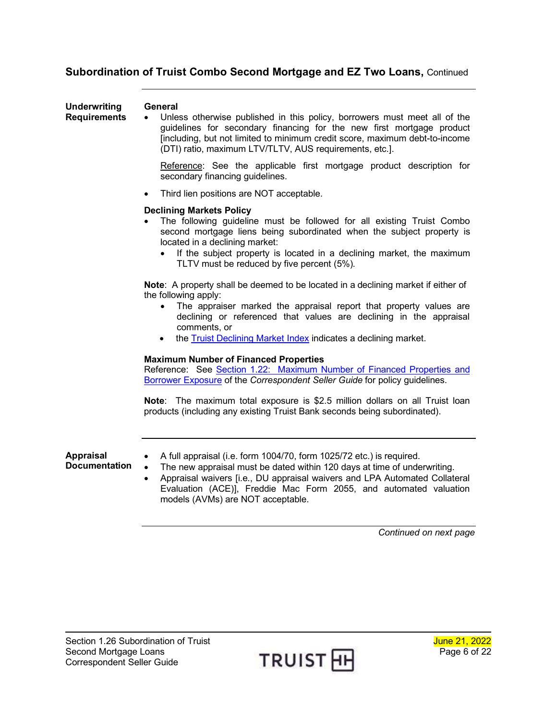<span id="page-5-0"></span>

| <b>Underwriting</b><br><b>Requirements</b> | General<br>Unless otherwise published in this policy, borrowers must meet all of the<br>guidelines for secondary financing for the new first mortgage product<br>[including, but not limited to minimum credit score, maximum debt-to-income<br>(DTI) ratio, maximum LTV/TLTV, AUS requirements, etc.].                                                                   |
|--------------------------------------------|---------------------------------------------------------------------------------------------------------------------------------------------------------------------------------------------------------------------------------------------------------------------------------------------------------------------------------------------------------------------------|
|                                            | Reference: See the applicable first mortgage product description for<br>secondary financing guidelines.                                                                                                                                                                                                                                                                   |
|                                            | Third lien positions are NOT acceptable.<br>$\bullet$                                                                                                                                                                                                                                                                                                                     |
|                                            | <b>Declining Markets Policy</b><br>The following guideline must be followed for all existing Truist Combo<br>second mortgage liens being subordinated when the subject property is<br>located in a declining market:<br>If the subject property is located in a declining market, the maximum<br>TLTV must be reduced by five percent (5%).                               |
|                                            | Note: A property shall be deemed to be located in a declining market if either of<br>the following apply:<br>The appraiser marked the appraisal report that property values are<br>$\bullet$<br>declining or referenced that values are declining in the appraisal<br>comments, or<br>the <b>Truist Declining Market Index</b> indicates a declining market.<br>$\bullet$ |
|                                            | <b>Maximum Number of Financed Properties</b><br>Reference: See Section 1.22: Maximum Number of Financed Properties and<br>Borrower Exposure of the Correspondent Seller Guide for policy guidelines.                                                                                                                                                                      |
|                                            | Note: The maximum total exposure is \$2.5 million dollars on all Truist loan<br>products (including any existing Truist Bank seconds being subordinated).                                                                                                                                                                                                                 |
| <b>Appraisal</b><br><b>Documentation</b>   | A full appraisal (i.e. form 1004/70, form 1025/72 etc.) is required.<br>The new appraisal must be dated within 120 days at time of underwriting.<br>$\bullet$<br>Appraisal waivers [i.e., DU appraisal waivers and LPA Automated Collateral<br>$\bullet$<br>Evaluation (ACE)], Freddie Mac Form 2055, and automated valuation<br>models (AVMs) are NOT acceptable.        |

<span id="page-5-1"></span>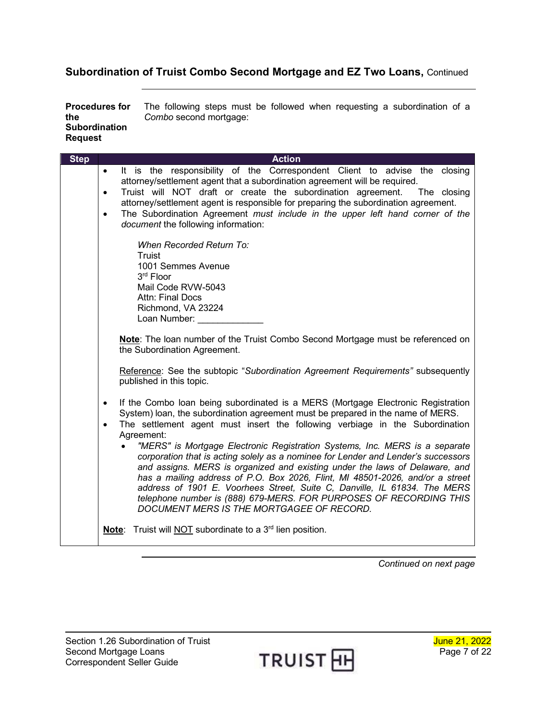<span id="page-6-0"></span>**Procedures for the Subordination Request** The following steps must be followed when requesting a subordination of a *Combo* second mortgage:

| <b>Step</b> | <b>Action</b>                                                                                                                                                                                                                                                                                                                                                                                                                                                                                                                           |
|-------------|-----------------------------------------------------------------------------------------------------------------------------------------------------------------------------------------------------------------------------------------------------------------------------------------------------------------------------------------------------------------------------------------------------------------------------------------------------------------------------------------------------------------------------------------|
|             | It is the responsibility of the Correspondent Client to advise the closing<br>$\bullet$<br>attorney/settlement agent that a subordination agreement will be required.<br>Truist will NOT draft or create the subordination agreement. The closing<br>$\bullet$<br>attorney/settlement agent is responsible for preparing the subordination agreement.                                                                                                                                                                                   |
|             | The Subordination Agreement must include in the upper left hand corner of the<br>$\bullet$<br>document the following information:                                                                                                                                                                                                                                                                                                                                                                                                       |
|             | When Recorded Return To:<br><b>Truist</b><br>1001 Semmes Avenue<br>3rd Floor<br>Mail Code RVW-5043<br><b>Attn: Final Docs</b><br>Richmond, VA 23224                                                                                                                                                                                                                                                                                                                                                                                     |
|             | Loan Number:<br>Note: The loan number of the Truist Combo Second Mortgage must be referenced on<br>the Subordination Agreement.                                                                                                                                                                                                                                                                                                                                                                                                         |
|             | Reference: See the subtopic "Subordination Agreement Requirements" subsequently<br>published in this topic.                                                                                                                                                                                                                                                                                                                                                                                                                             |
|             | If the Combo loan being subordinated is a MERS (Mortgage Electronic Registration<br>$\bullet$<br>System) loan, the subordination agreement must be prepared in the name of MERS.<br>The settlement agent must insert the following verbiage in the Subordination<br>$\bullet$<br>Agreement:                                                                                                                                                                                                                                             |
|             | "MERS" is Mortgage Electronic Registration Systems, Inc. MERS is a separate<br>corporation that is acting solely as a nominee for Lender and Lender's successors<br>and assigns. MERS is organized and existing under the laws of Delaware, and<br>has a mailing address of P.O. Box 2026, Flint, MI 48501-2026, and/or a street<br>address of 1901 E. Voorhees Street, Suite C, Danville, IL 61834. The MERS<br>telephone number is (888) 679-MERS. FOR PURPOSES OF RECORDING THIS<br><b>DOCUMENT MERS IS THE MORTGAGEE OF RECORD.</b> |
|             | Truist will <b>NOT</b> subordinate to a 3 <sup>rd</sup> lien position.<br>Note:                                                                                                                                                                                                                                                                                                                                                                                                                                                         |

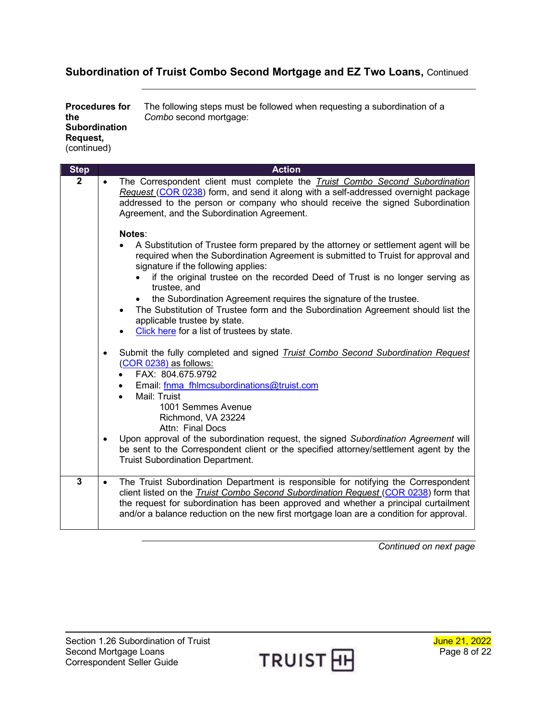| <b>Procedures for</b><br>the<br><b>Subordination</b><br>Request. | The following steps must be followed when requesting a subordination of a<br>Combo second mortgage: |
|------------------------------------------------------------------|-----------------------------------------------------------------------------------------------------|
| (continued)                                                      |                                                                                                     |

| <b>Step</b>    | <b>Action</b>                                                                                                                                                                                                                                                                                                                                                                                                                                                                                                                                                                    |
|----------------|----------------------------------------------------------------------------------------------------------------------------------------------------------------------------------------------------------------------------------------------------------------------------------------------------------------------------------------------------------------------------------------------------------------------------------------------------------------------------------------------------------------------------------------------------------------------------------|
| $\mathbf{2}$   | The Correspondent client must complete the <i>Truist Combo Second Subordination</i><br>$\bullet$<br>Request (COR 0238) form, and send it along with a self-addressed overnight package<br>addressed to the person or company who should receive the signed Subordination<br>Agreement, and the Subordination Agreement.                                                                                                                                                                                                                                                          |
|                | Notes:<br>A Substitution of Trustee form prepared by the attorney or settlement agent will be<br>required when the Subordination Agreement is submitted to Truist for approval and<br>signature if the following applies:<br>if the original trustee on the recorded Deed of Trust is no longer serving as<br>trustee, and<br>the Subordination Agreement requires the signature of the trustee.<br>$\bullet$<br>The Substitution of Trustee form and the Subordination Agreement should list the<br>applicable trustee by state.<br>Click here for a list of trustees by state. |
|                | Submit the fully completed and signed <i>Truist Combo Second Subordination Request</i><br>$\bullet$<br>(COR 0238) as follows:<br>FAX: 804.675.9792<br>Email: fnma fhlmcsubordinations@truist.com<br>Mail: Truist<br>1001 Semmes Avenue<br>Richmond, VA 23224<br>Attn: Final Docs<br>Upon approval of the subordination request, the signed Subordination Agreement will<br>$\bullet$<br>be sent to the Correspondent client or the specified attorney/settlement agent by the<br><b>Truist Subordination Department.</b>                                                         |
| $\overline{3}$ | The Truist Subordination Department is responsible for notifying the Correspondent<br>client listed on the Truist Combo Second Subordination Request (COR 0238) form that<br>the request for subordination has been approved and whether a principal curtailment<br>and/or a balance reduction on the new first mortgage loan are a condition for approval.                                                                                                                                                                                                                      |

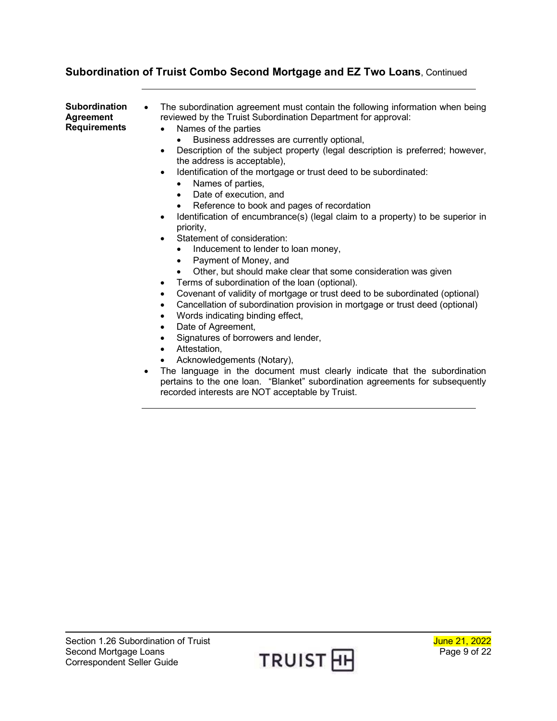<span id="page-8-0"></span>

| Subordination<br>Agreement<br>Requirements | The subordination agreement must contain the following information when being<br>$\bullet$<br>reviewed by the Truist Subordination Department for approval:<br>Names of the parties<br>Business addresses are currently optional, |
|--------------------------------------------|-----------------------------------------------------------------------------------------------------------------------------------------------------------------------------------------------------------------------------------|
|                                            | Description of the subject property (legal description is preferred; however,<br>the address is acceptable),                                                                                                                      |
|                                            | Identification of the mortgage or trust deed to be subordinated:<br>$\bullet$<br>Names of parties,<br>$\bullet$                                                                                                                   |
|                                            | Date of execution, and<br>$\bullet$                                                                                                                                                                                               |
|                                            | Reference to book and pages of recordation<br>$\bullet$                                                                                                                                                                           |
|                                            | Identification of encumbrance(s) (legal claim to a property) to be superior in<br>$\bullet$<br>priority,                                                                                                                          |
|                                            | Statement of consideration:                                                                                                                                                                                                       |
|                                            | Inducement to lender to loan money,                                                                                                                                                                                               |
|                                            | Payment of Money, and<br>$\bullet$                                                                                                                                                                                                |
|                                            | Other, but should make clear that some consideration was given                                                                                                                                                                    |
|                                            | Terms of subordination of the loan (optional).                                                                                                                                                                                    |
|                                            | Covenant of validity of mortgage or trust deed to be subordinated (optional)<br>$\bullet$                                                                                                                                         |
|                                            | Cancellation of subordination provision in mortgage or trust deed (optional)                                                                                                                                                      |
|                                            | Words indicating binding effect,<br>٠                                                                                                                                                                                             |
|                                            | Date of Agreement,<br>٠                                                                                                                                                                                                           |
|                                            | Signatures of borrowers and lender,<br>$\bullet$                                                                                                                                                                                  |
|                                            | Attestation,<br>٠                                                                                                                                                                                                                 |
|                                            | Acknowledgements (Notary),                                                                                                                                                                                                        |
|                                            | The language in the document must clearly indicate that the subordination                                                                                                                                                         |

• The language in the document must clearly indicate that the subordination pertains to the one loan. "Blanket" subordination agreements for subsequently recorded interests are NOT acceptable by Truist.

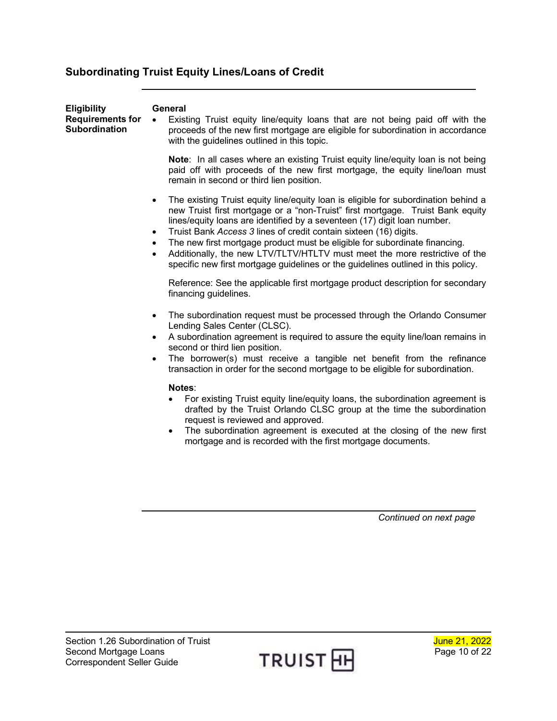## <span id="page-9-0"></span>**Subordinating Truist Equity Lines/Loans of Credit**

<span id="page-9-1"></span>

| <b>Eligibility</b><br><b>Requirements for</b><br><b>Subordination</b> | General<br>Existing Truist equity line/equity loans that are not being paid off with the<br>$\bullet$<br>proceeds of the new first mortgage are eligible for subordination in accordance<br>with the guidelines outlined in this topic.                                                                                                                                                                                                                                                                                                                                                                                                                                                                                                                                                          |
|-----------------------------------------------------------------------|--------------------------------------------------------------------------------------------------------------------------------------------------------------------------------------------------------------------------------------------------------------------------------------------------------------------------------------------------------------------------------------------------------------------------------------------------------------------------------------------------------------------------------------------------------------------------------------------------------------------------------------------------------------------------------------------------------------------------------------------------------------------------------------------------|
|                                                                       | Note: In all cases where an existing Truist equity line/equity loan is not being<br>paid off with proceeds of the new first mortgage, the equity line/loan must<br>remain in second or third lien position.                                                                                                                                                                                                                                                                                                                                                                                                                                                                                                                                                                                      |
|                                                                       | The existing Truist equity line/equity loan is eligible for subordination behind a<br>$\bullet$<br>new Truist first mortgage or a "non-Truist" first mortgage. Truist Bank equity<br>lines/equity loans are identified by a seventeen (17) digit loan number.<br>Truist Bank Access 3 lines of credit contain sixteen (16) digits.<br>$\bullet$<br>The new first mortgage product must be eligible for subordinate financing.<br>$\bullet$<br>Additionally, the new LTV/TLTV/HTLTV must meet the more restrictive of the<br>$\bullet$<br>specific new first mortgage guidelines or the guidelines outlined in this policy.                                                                                                                                                                       |
|                                                                       | Reference: See the applicable first mortgage product description for secondary<br>financing guidelines.                                                                                                                                                                                                                                                                                                                                                                                                                                                                                                                                                                                                                                                                                          |
|                                                                       | The subordination request must be processed through the Orlando Consumer<br>$\bullet$<br>Lending Sales Center (CLSC).<br>A subordination agreement is required to assure the equity line/loan remains in<br>$\bullet$<br>second or third lien position.<br>The borrower(s) must receive a tangible net benefit from the refinance<br>$\bullet$<br>transaction in order for the second mortgage to be eligible for subordination.<br>Notes:<br>For existing Truist equity line/equity loans, the subordination agreement is<br>drafted by the Truist Orlando CLSC group at the time the subordination<br>request is reviewed and approved.<br>The subordination agreement is executed at the closing of the new first<br>$\bullet$<br>mortgage and is recorded with the first mortgage documents. |
|                                                                       | Continued on next page                                                                                                                                                                                                                                                                                                                                                                                                                                                                                                                                                                                                                                                                                                                                                                           |

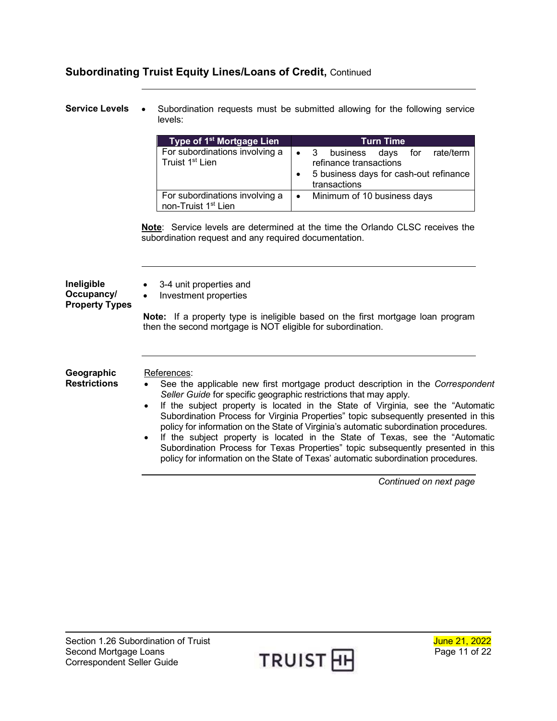<span id="page-10-0"></span>**Service Levels** • Subordination requests must be submitted allowing for the following service levels:

| Type of 1 <sup>st</sup> Mortgage Lien                             | <b>Turn Time</b> |                                                                                                             |                               |  |  |  |  |
|-------------------------------------------------------------------|------------------|-------------------------------------------------------------------------------------------------------------|-------------------------------|--|--|--|--|
| For subordinations involving a<br>Truist 1 <sup>st</sup> Lien     |                  | $\bullet$ 3 business days for rate/term<br>refinance transactions<br>5 business days for cash-out refinance |                               |  |  |  |  |
|                                                                   |                  |                                                                                                             | transactions                  |  |  |  |  |
| For subordinations involving a<br>non-Truist 1 <sup>st</sup> Lien |                  |                                                                                                             | • Minimum of 10 business days |  |  |  |  |

**Note**: Service levels are determined at the time the Orlando CLSC receives the subordination request and any required documentation.

<span id="page-10-2"></span><span id="page-10-1"></span>

| Ineligible<br>Occupancy/<br><b>Property Types</b> | 3-4 unit properties and<br>$\bullet$<br>Investment properties<br>$\bullet$                                                                                                                                                                                                                                                                                                                                                                                                                                                                                                                                                                                                                                                |  |  |  |  |
|---------------------------------------------------|---------------------------------------------------------------------------------------------------------------------------------------------------------------------------------------------------------------------------------------------------------------------------------------------------------------------------------------------------------------------------------------------------------------------------------------------------------------------------------------------------------------------------------------------------------------------------------------------------------------------------------------------------------------------------------------------------------------------------|--|--|--|--|
|                                                   | <b>Note:</b> If a property type is ineligible based on the first mortgage loan program<br>then the second mortgage is NOT eligible for subordination.                                                                                                                                                                                                                                                                                                                                                                                                                                                                                                                                                                     |  |  |  |  |
| Geographic<br><b>Restrictions</b>                 | References:<br>See the applicable new first mortgage product description in the Correspondent<br>Seller Guide for specific geographic restrictions that may apply.<br>If the subject property is located in the State of Virginia, see the "Automatic"<br>$\bullet$<br>Subordination Process for Virginia Properties" topic subsequently presented in this<br>policy for information on the State of Virginia's automatic subordination procedures.<br>If the subject property is located in the State of Texas, see the "Automatic<br>$\bullet$<br>Subordination Process for Texas Properties" topic subsequently presented in this<br>policy for information on the State of Texas' automatic subordination procedures. |  |  |  |  |

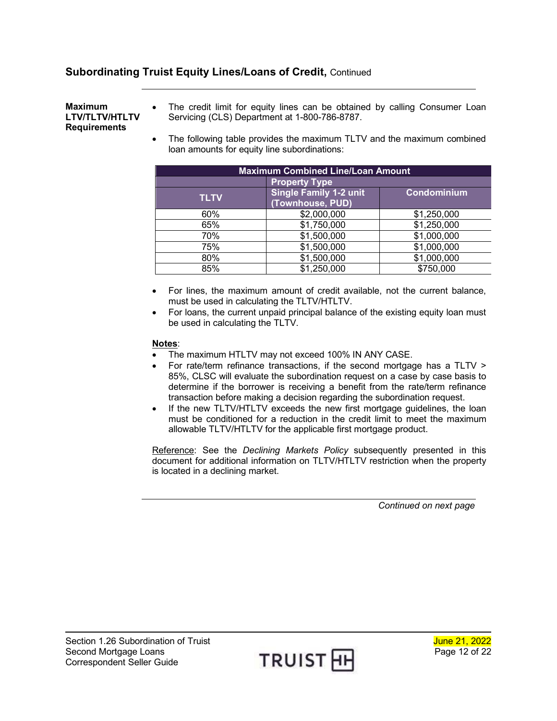#### <span id="page-11-0"></span>**Maximum LTV/TLTV/HTLTV Requirements**

- The credit limit for equity lines can be obtained by calling Consumer Loan Servicing (CLS) Department at 1-800-786-8787.
- The following table provides the maximum TLTV and the maximum combined loan amounts for equity line subordinations:

| <b>Maximum Combined Line/Loan Amount</b> |                                                   |             |  |  |  |  |
|------------------------------------------|---------------------------------------------------|-------------|--|--|--|--|
| <b>Property Type</b>                     |                                                   |             |  |  |  |  |
| <b>TLTV</b>                              | <b>Single Family 1-2 unit</b><br>(Townhouse, PUD) | Condominium |  |  |  |  |
| 60%                                      | \$2,000,000                                       | \$1,250,000 |  |  |  |  |
| 65%                                      | \$1,750,000                                       | \$1,250,000 |  |  |  |  |
| 70%                                      | \$1,500,000                                       | \$1,000,000 |  |  |  |  |
| 75%                                      | \$1,500,000                                       | \$1,000,000 |  |  |  |  |
| 80%                                      | \$1,500,000                                       | \$1,000,000 |  |  |  |  |
| 85%                                      | \$1,250,000                                       | \$750,000   |  |  |  |  |

- For lines, the maximum amount of credit available, not the current balance, must be used in calculating the TLTV/HTLTV.
- For loans, the current unpaid principal balance of the existing equity loan must be used in calculating the TLTV.

#### **Notes**:

- The maximum HTLTV may not exceed 100% IN ANY CASE.
- For rate/term refinance transactions, if the second mortgage has a TLTV > 85%, CLSC will evaluate the subordination request on a case by case basis to determine if the borrower is receiving a benefit from the rate/term refinance transaction before making a decision regarding the subordination request.
- If the new TLTV/HTLTV exceeds the new first mortgage guidelines, the loan must be conditioned for a reduction in the credit limit to meet the maximum allowable TLTV/HTLTV for the applicable first mortgage product.

Reference: See the *Declining Markets Policy* subsequently presented in this document for additional information on TLTV/HTLTV restriction when the property is located in a declining market.

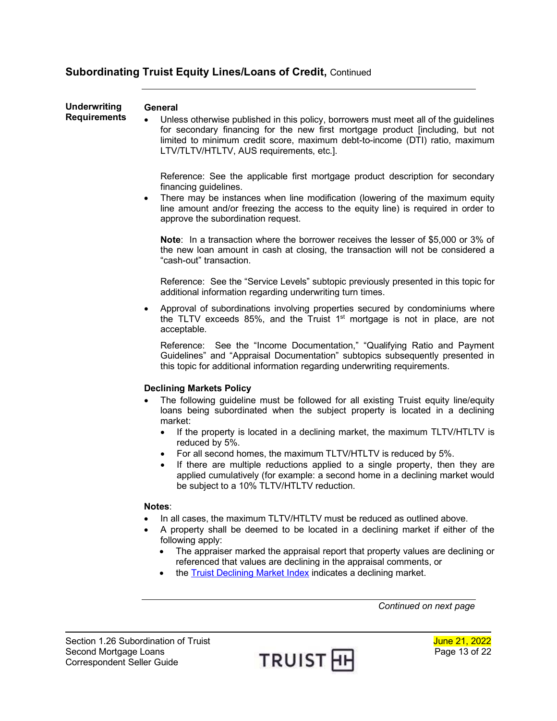<span id="page-12-1"></span><span id="page-12-0"></span>

| <b>Underwriting</b><br><b>Requirements</b> | General<br>Unless otherwise published in this policy, borrowers must meet all of the guidelines<br>for secondary financing for the new first mortgage product [including, but not<br>limited to minimum credit score, maximum debt-to-income (DTI) ratio, maximum<br>LTV/TLTV/HTLTV, AUS requirements, etc.].                     |
|--------------------------------------------|-----------------------------------------------------------------------------------------------------------------------------------------------------------------------------------------------------------------------------------------------------------------------------------------------------------------------------------|
|                                            | Reference: See the applicable first mortgage product description for secondary<br>financing guidelines.<br>There may be instances when line modification (lowering of the maximum equity<br>$\bullet$<br>line amount and/or freezing the access to the equity line) is required in order to<br>approve the subordination request. |
|                                            | Note: In a transaction where the borrower receives the lesser of \$5,000 or 3% of<br>the new loan amount in cash at closing, the transaction will not be considered a<br>"cash-out" transaction.                                                                                                                                  |
|                                            | Reference: See the "Service Levels" subtopic previously presented in this topic for<br>additional information regarding underwriting turn times.                                                                                                                                                                                  |
|                                            | Approval of subordinations involving properties secured by condominiums where<br>$\bullet$<br>the TLTV exceeds 85%, and the Truist 1 <sup>st</sup> mortgage is not in place, are not<br>acceptable.                                                                                                                               |
|                                            | Reference: See the "Income Documentation," "Qualifying Ratio and Payment<br>Guidelines" and "Appraisal Documentation" subtopics subsequently presented in<br>this topic for additional information regarding underwriting requirements.                                                                                           |
|                                            | <b>Declining Markets Policy</b>                                                                                                                                                                                                                                                                                                   |
|                                            | The following guideline must be followed for all existing Truist equity line/equity<br>loans being subordinated when the subject property is located in a declining                                                                                                                                                               |
|                                            | market:<br>If the property is located in a declining market, the maximum TLTV/HTLTV is<br>$\bullet$<br>reduced by 5%.                                                                                                                                                                                                             |
|                                            | For all second homes, the maximum TLTV/HTLTV is reduced by 5%.<br>$\bullet$<br>If there are multiple reductions applied to a single property, then they are<br>$\bullet$<br>applied cumulatively (for example: a second home in a declining market would<br>be subject to a 10% TLTV/HTLTV reduction.                             |
|                                            | Notes:                                                                                                                                                                                                                                                                                                                            |
|                                            | In all cases, the maximum TLTV/HTLTV must be reduced as outlined above.<br>A property shall be deemed to be located in a declining market if either of the<br>following apply:                                                                                                                                                    |
|                                            | The appraiser marked the appraisal report that property values are declining or<br>referenced that values are declining in the appraisal comments, or<br>the Truist Declining Market Index indicates a declining market.                                                                                                          |

<span id="page-12-2"></span>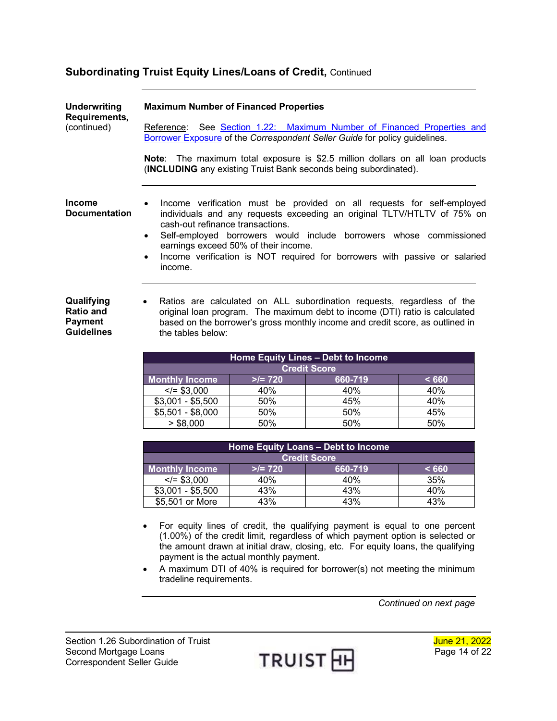<span id="page-13-1"></span><span id="page-13-0"></span>

| <b>Underwriting</b><br>Requirements,<br>(continued)                   | <b>Maximum Number of Financed Properties</b><br>Reference:                                                                                                                                                                                                               |          | See Section 1.22: Maximum Number of Financed Properties and                                                                                                                                                                                                                                                                  |       |
|-----------------------------------------------------------------------|--------------------------------------------------------------------------------------------------------------------------------------------------------------------------------------------------------------------------------------------------------------------------|----------|------------------------------------------------------------------------------------------------------------------------------------------------------------------------------------------------------------------------------------------------------------------------------------------------------------------------------|-------|
|                                                                       | Borrower Exposure of the Correspondent Seller Guide for policy guidelines.                                                                                                                                                                                               |          |                                                                                                                                                                                                                                                                                                                              |       |
|                                                                       | Note: The maximum total exposure is \$2.5 million dollars on all loan products<br>(INCLUDING any existing Truist Bank seconds being subordinated).                                                                                                                       |          |                                                                                                                                                                                                                                                                                                                              |       |
| Income<br><b>Documentation</b>                                        | $\bullet$<br>cash-out refinance transactions.<br>$\bullet$<br>earnings exceed 50% of their income.<br>$\bullet$<br>income.                                                                                                                                               |          | Income verification must be provided on all requests for self-employed<br>individuals and any requests exceeding an original TLTV/HTLTV of 75% on<br>Self-employed borrowers would include borrowers whose commissioned<br>Income verification is NOT required for borrowers with passive or salaried                        |       |
| Qualifying<br><b>Ratio and</b><br><b>Payment</b><br><b>Guidelines</b> | Ratios are calculated on ALL subordination requests, regardless of the<br>$\bullet$<br>original loan program. The maximum debt to income (DTI) ratio is calculated<br>based on the borrower's gross monthly income and credit score, as outlined in<br>the tables below: |          |                                                                                                                                                                                                                                                                                                                              |       |
|                                                                       |                                                                                                                                                                                                                                                                          |          | Home Equity Lines - Debt to Income                                                                                                                                                                                                                                                                                           |       |
|                                                                       |                                                                                                                                                                                                                                                                          |          | <b>Credit Score</b>                                                                                                                                                                                                                                                                                                          |       |
|                                                                       | <b>Monthly Income</b>                                                                                                                                                                                                                                                    | $>= 720$ | 660-719                                                                                                                                                                                                                                                                                                                      | < 660 |
|                                                                       | $\sqrt{2}$ \$3,000                                                                                                                                                                                                                                                       | 40%      | 40%                                                                                                                                                                                                                                                                                                                          | 40%   |
|                                                                       | $$3,001 - $5,500$                                                                                                                                                                                                                                                        | 50%      | 45%                                                                                                                                                                                                                                                                                                                          | 40%   |
|                                                                       | $$5,501 - $8,000$                                                                                                                                                                                                                                                        | 50%      | 50%                                                                                                                                                                                                                                                                                                                          | 45%   |
|                                                                       | > \$8,000                                                                                                                                                                                                                                                                | 50%      | 50%                                                                                                                                                                                                                                                                                                                          | 50%   |
|                                                                       |                                                                                                                                                                                                                                                                          |          |                                                                                                                                                                                                                                                                                                                              |       |
|                                                                       |                                                                                                                                                                                                                                                                          |          | Home Equity Loans - Debt to Income                                                                                                                                                                                                                                                                                           |       |
|                                                                       |                                                                                                                                                                                                                                                                          |          | <b>Credit Score</b>                                                                                                                                                                                                                                                                                                          |       |
|                                                                       | <b>Monthly Income</b>                                                                                                                                                                                                                                                    | $>= 720$ | 660-719                                                                                                                                                                                                                                                                                                                      | < 660 |
|                                                                       | $\le$ /= \$3,000                                                                                                                                                                                                                                                         | 40%      | 40%                                                                                                                                                                                                                                                                                                                          | 35%   |
|                                                                       | $$3,001 - $5,500$                                                                                                                                                                                                                                                        | 43%      | 43%                                                                                                                                                                                                                                                                                                                          | 40%   |
|                                                                       | \$5,501 or More                                                                                                                                                                                                                                                          | 43%      | 43%                                                                                                                                                                                                                                                                                                                          | 43%   |
|                                                                       | payment is the actual monthly payment.<br>tradeline requirements.                                                                                                                                                                                                        |          | For equity lines of credit, the qualifying payment is equal to one percent<br>(1.00%) of the credit limit, regardless of which payment option is selected or<br>the amount drawn at initial draw, closing, etc. For equity loans, the qualifying<br>A maximum DTI of 40% is required for borrower(s) not meeting the minimum |       |

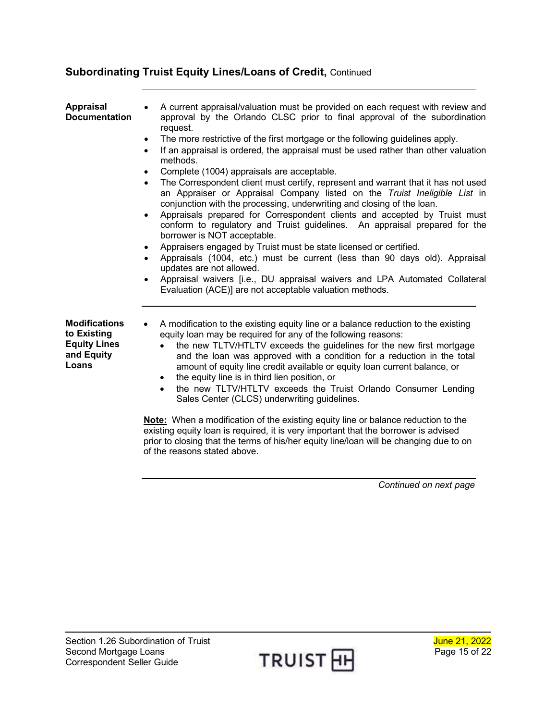of the reasons stated above.

<span id="page-14-0"></span>

| Appraisal<br><b>Documentation</b>                                                 | A current appraisal/valuation must be provided on each request with review and<br>approval by the Orlando CLSC prior to final approval of the subordination<br>request.<br>The more restrictive of the first mortgage or the following guidelines apply.<br>$\bullet$<br>If an appraisal is ordered, the appraisal must be used rather than other valuation<br>$\bullet$<br>methods.<br>Complete (1004) appraisals are acceptable.<br>$\bullet$<br>The Correspondent client must certify, represent and warrant that it has not used<br>$\bullet$<br>an Appraiser or Appraisal Company listed on the Truist Ineligible List in<br>conjunction with the processing, underwriting and closing of the loan.<br>Appraisals prepared for Correspondent clients and accepted by Truist must<br>$\bullet$<br>conform to regulatory and Truist guidelines. An appraisal prepared for the<br>borrower is NOT acceptable.<br>Appraisers engaged by Truist must be state licensed or certified.<br>٠<br>Appraisals (1004, etc.) must be current (less than 90 days old). Appraisal<br>٠<br>updates are not allowed.<br>Appraisal waivers [i.e., DU appraisal waivers and LPA Automated Collateral<br>Evaluation (ACE)] are not acceptable valuation methods. |
|-----------------------------------------------------------------------------------|---------------------------------------------------------------------------------------------------------------------------------------------------------------------------------------------------------------------------------------------------------------------------------------------------------------------------------------------------------------------------------------------------------------------------------------------------------------------------------------------------------------------------------------------------------------------------------------------------------------------------------------------------------------------------------------------------------------------------------------------------------------------------------------------------------------------------------------------------------------------------------------------------------------------------------------------------------------------------------------------------------------------------------------------------------------------------------------------------------------------------------------------------------------------------------------------------------------------------------------------------|
| <b>Modifications</b><br>to Existing<br><b>Equity Lines</b><br>and Equity<br>Loans | A modification to the existing equity line or a balance reduction to the existing<br>$\bullet$<br>equity loan may be required for any of the following reasons:<br>the new TLTV/HTLTV exceeds the guidelines for the new first mortgage<br>and the loan was approved with a condition for a reduction in the total<br>amount of equity line credit available or equity loan current balance, or<br>the equity line is in third lien position, or<br>٠<br>the new TLTV/HTLTV exceeds the Truist Orlando Consumer Lending<br>$\bullet$<br>Sales Center (CLCS) underwriting guidelines.<br><b>Note:</b> When a modification of the existing equity line or balance reduction to the<br>existing equity loan is required, it is very important that the borrower is advised                                                                                                                                                                                                                                                                                                                                                                                                                                                                           |

*Continued on next page*



<span id="page-14-1"></span>prior to closing that the terms of his/her equity line/loan will be changing due to on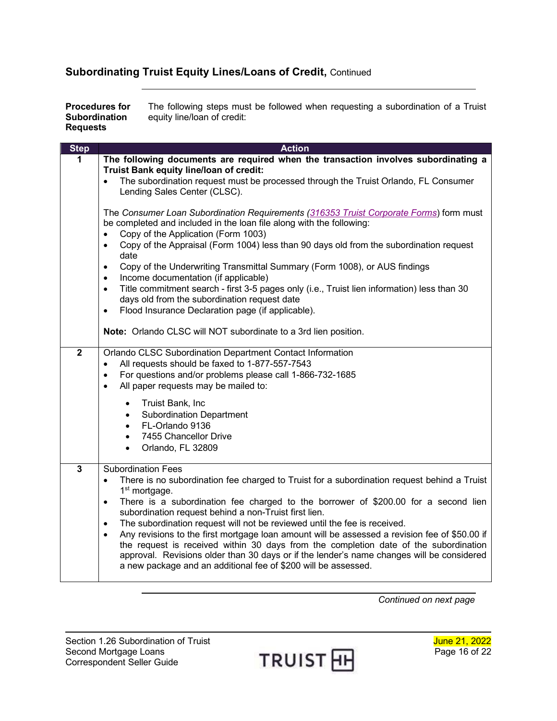<span id="page-15-0"></span>**Procedures for Subordination Requests** The following steps must be followed when requesting a subordination of a Truist equity line/loan of credit:

| <b>Step</b>    | <b>Action</b>                                                                                                                                                                                                                                                                                                                                                     |
|----------------|-------------------------------------------------------------------------------------------------------------------------------------------------------------------------------------------------------------------------------------------------------------------------------------------------------------------------------------------------------------------|
| 1              | The following documents are required when the transaction involves subordinating a<br>Truist Bank equity line/loan of credit:                                                                                                                                                                                                                                     |
|                | The subordination request must be processed through the Truist Orlando, FL Consumer<br>$\bullet$<br>Lending Sales Center (CLSC).                                                                                                                                                                                                                                  |
|                | The Consumer Loan Subordination Requirements (316353 Truist Corporate Forms) form must<br>be completed and included in the loan file along with the following:                                                                                                                                                                                                    |
|                | Copy of the Application (Form 1003)<br>$\bullet$<br>Copy of the Appraisal (Form 1004) less than 90 days old from the subordination request<br>$\bullet$<br>date                                                                                                                                                                                                   |
|                | Copy of the Underwriting Transmittal Summary (Form 1008), or AUS findings<br>$\bullet$<br>Income documentation (if applicable)<br>$\bullet$                                                                                                                                                                                                                       |
|                | Title commitment search - first 3-5 pages only (i.e., Truist lien information) less than 30<br>$\bullet$<br>days old from the subordination request date                                                                                                                                                                                                          |
|                | Flood Insurance Declaration page (if applicable).<br>$\bullet$                                                                                                                                                                                                                                                                                                    |
|                | Note: Orlando CLSC will NOT subordinate to a 3rd lien position.                                                                                                                                                                                                                                                                                                   |
| $\overline{2}$ | Orlando CLSC Subordination Department Contact Information<br>All requests should be faxed to 1-877-557-7543<br>$\bullet$                                                                                                                                                                                                                                          |
|                | For questions and/or problems please call 1-866-732-1685<br>$\bullet$<br>All paper requests may be mailed to:<br>$\bullet$                                                                                                                                                                                                                                        |
|                | Truist Bank, Inc<br>$\bullet$<br><b>Subordination Department</b><br>$\bullet$                                                                                                                                                                                                                                                                                     |
|                | FL-Orlando 9136<br>$\bullet$                                                                                                                                                                                                                                                                                                                                      |
|                | 7455 Chancellor Drive<br>$\bullet$<br>Orlando, FL 32809                                                                                                                                                                                                                                                                                                           |
| $\overline{3}$ | <b>Subordination Fees</b>                                                                                                                                                                                                                                                                                                                                         |
|                | There is no subordination fee charged to Truist for a subordination request behind a Truist<br>$\bullet$<br>1 <sup>st</sup> mortgage.                                                                                                                                                                                                                             |
|                | There is a subordination fee charged to the borrower of \$200.00 for a second lien<br>$\bullet$                                                                                                                                                                                                                                                                   |
|                | subordination request behind a non-Truist first lien.<br>The subordination request will not be reviewed until the fee is received.<br>$\bullet$                                                                                                                                                                                                                   |
|                | Any revisions to the first mortgage loan amount will be assessed a revision fee of \$50.00 if<br>$\bullet$<br>the request is received within 30 days from the completion date of the subordination<br>approval. Revisions older than 30 days or if the lender's name changes will be considered<br>a new package and an additional fee of \$200 will be assessed. |
|                |                                                                                                                                                                                                                                                                                                                                                                   |

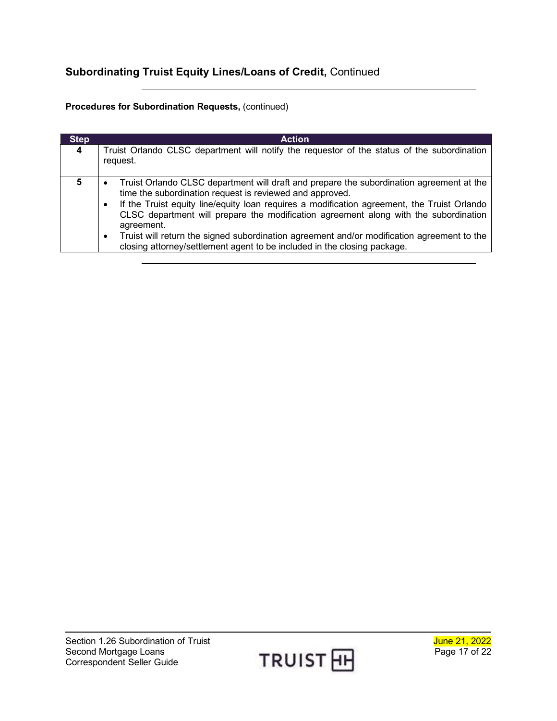### **Procedures for Subordination Requests,** (continued)

| <b>Step</b> | <b>Action</b>                                                                                                                                                                                                                                                                                                                                                                                                                                                                                                                                                 |
|-------------|---------------------------------------------------------------------------------------------------------------------------------------------------------------------------------------------------------------------------------------------------------------------------------------------------------------------------------------------------------------------------------------------------------------------------------------------------------------------------------------------------------------------------------------------------------------|
| 4           | Truist Orlando CLSC department will notify the requestor of the status of the subordination<br>request.                                                                                                                                                                                                                                                                                                                                                                                                                                                       |
| 5           | Truist Orlando CLSC department will draft and prepare the subordination agreement at the<br>time the subordination request is reviewed and approved.<br>If the Truist equity line/equity loan requires a modification agreement, the Truist Orlando<br>$\bullet$<br>CLSC department will prepare the modification agreement along with the subordination<br>agreement.<br>Truist will return the signed subordination agreement and/or modification agreement to the<br>$\bullet$<br>closing attorney/settlement agent to be included in the closing package. |

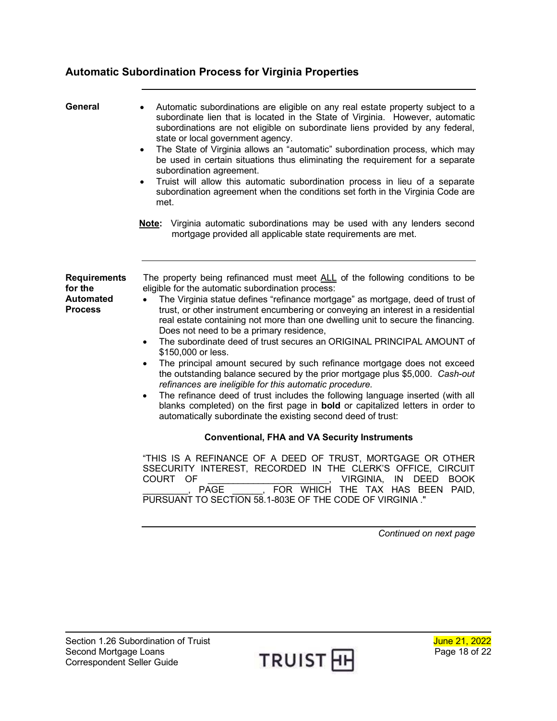## <span id="page-17-0"></span>**Automatic Subordination Process for Virginia Properties**

<span id="page-17-2"></span><span id="page-17-1"></span>

| General                                                       | Automatic subordinations are eligible on any real estate property subject to a<br>subordinate lien that is located in the State of Virginia. However, automatic<br>subordinations are not eligible on subordinate liens provided by any federal,<br>state or local government agency.<br>The State of Virginia allows an "automatic" subordination process, which may<br>$\bullet$<br>be used in certain situations thus eliminating the requirement for a separate<br>subordination agreement.<br>Truist will allow this automatic subordination process in lieu of a separate<br>$\bullet$<br>subordination agreement when the conditions set forth in the Virginia Code are<br>met.<br>Virginia automatic subordinations may be used with any lenders second<br>Note:<br>mortgage provided all applicable state requirements are met.                                                                                                                                                                                                                    |
|---------------------------------------------------------------|-------------------------------------------------------------------------------------------------------------------------------------------------------------------------------------------------------------------------------------------------------------------------------------------------------------------------------------------------------------------------------------------------------------------------------------------------------------------------------------------------------------------------------------------------------------------------------------------------------------------------------------------------------------------------------------------------------------------------------------------------------------------------------------------------------------------------------------------------------------------------------------------------------------------------------------------------------------------------------------------------------------------------------------------------------------|
| <b>Requirements</b><br>for the<br>Automated<br><b>Process</b> | The property being refinanced must meet ALL of the following conditions to be<br>eligible for the automatic subordination process:<br>The Virginia statue defines "refinance mortgage" as mortgage, deed of trust of<br>$\bullet$<br>trust, or other instrument encumbering or conveying an interest in a residential<br>real estate containing not more than one dwelling unit to secure the financing.<br>Does not need to be a primary residence,<br>The subordinate deed of trust secures an ORIGINAL PRINCIPAL AMOUNT of<br>$\bullet$<br>\$150,000 or less.<br>The principal amount secured by such refinance mortgage does not exceed<br>$\bullet$<br>the outstanding balance secured by the prior mortgage plus \$5,000. Cash-out<br>refinances are ineligible for this automatic procedure.<br>The refinance deed of trust includes the following language inserted (with all<br>$\bullet$<br>blanks completed) on the first page in <b>bold</b> or capitalized letters in order to<br>automatically subordinate the existing second deed of trust: |
|                                                               | <b>Conventional, FHA and VA Security Instruments</b>                                                                                                                                                                                                                                                                                                                                                                                                                                                                                                                                                                                                                                                                                                                                                                                                                                                                                                                                                                                                        |
|                                                               | "THIS IS A REFINANCE OF A DEED OF TRUST, MORTGAGE OR OTHER<br>SSECURITY INTEREST, RECORDED IN THE CLERK'S OFFICE, CIRCUIT<br>COURT OF<br>VIRGINIA, IN DEED<br><b>BOOK</b><br>PAGE<br>FOR WHICH THE TAX HAS BEEN PAID,<br>PURSUANT TO SECTION 58.1-803E OF THE CODE OF VIRGINIA ."                                                                                                                                                                                                                                                                                                                                                                                                                                                                                                                                                                                                                                                                                                                                                                           |
|                                                               | Continued on next page                                                                                                                                                                                                                                                                                                                                                                                                                                                                                                                                                                                                                                                                                                                                                                                                                                                                                                                                                                                                                                      |

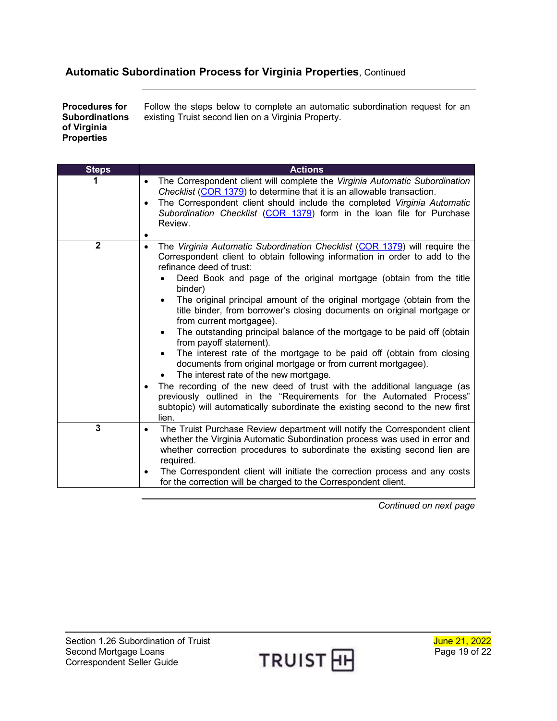### **Automatic Subordination Process for Virginia Properties**, Continued

<span id="page-18-0"></span>**Procedures for Subordinations of Virginia Properties** Follow the steps below to complete an automatic subordination request for an existing Truist second lien on a Virginia Property.

| <b>Steps</b> | <b>Actions</b>                                                                                                                                                                                                                                                                                                                                                                                                                                                                                                                                                                                                                                                                                                                                                                                                                                                                                                                                                                                                           |
|--------------|--------------------------------------------------------------------------------------------------------------------------------------------------------------------------------------------------------------------------------------------------------------------------------------------------------------------------------------------------------------------------------------------------------------------------------------------------------------------------------------------------------------------------------------------------------------------------------------------------------------------------------------------------------------------------------------------------------------------------------------------------------------------------------------------------------------------------------------------------------------------------------------------------------------------------------------------------------------------------------------------------------------------------|
|              | The Correspondent client will complete the Virginia Automatic Subordination<br>$\bullet$<br>Checklist (COR 1379) to determine that it is an allowable transaction.<br>The Correspondent client should include the completed Virginia Automatic<br>$\bullet$<br>Subordination Checklist (COR 1379) form in the loan file for Purchase<br>Review.                                                                                                                                                                                                                                                                                                                                                                                                                                                                                                                                                                                                                                                                          |
| $\mathbf{2}$ | The Virginia Automatic Subordination Checklist (COR 1379) will require the<br>$\bullet$<br>Correspondent client to obtain following information in order to add to the<br>refinance deed of trust:<br>Deed Book and page of the original mortgage (obtain from the title<br>binder)<br>The original principal amount of the original mortgage (obtain from the<br>title binder, from borrower's closing documents on original mortgage or<br>from current mortgagee).<br>The outstanding principal balance of the mortgage to be paid off (obtain<br>$\bullet$<br>from payoff statement).<br>The interest rate of the mortgage to be paid off (obtain from closing<br>documents from original mortgage or from current mortgagee).<br>The interest rate of the new mortgage.<br>The recording of the new deed of trust with the additional language (as<br>previously outlined in the "Requirements for the Automated Process"<br>subtopic) will automatically subordinate the existing second to the new first<br>lien. |
| 3            | The Truist Purchase Review department will notify the Correspondent client<br>$\bullet$<br>whether the Virginia Automatic Subordination process was used in error and<br>whether correction procedures to subordinate the existing second lien are<br>required.<br>The Correspondent client will initiate the correction process and any costs<br>$\bullet$<br>for the correction will be charged to the Correspondent client.                                                                                                                                                                                                                                                                                                                                                                                                                                                                                                                                                                                           |

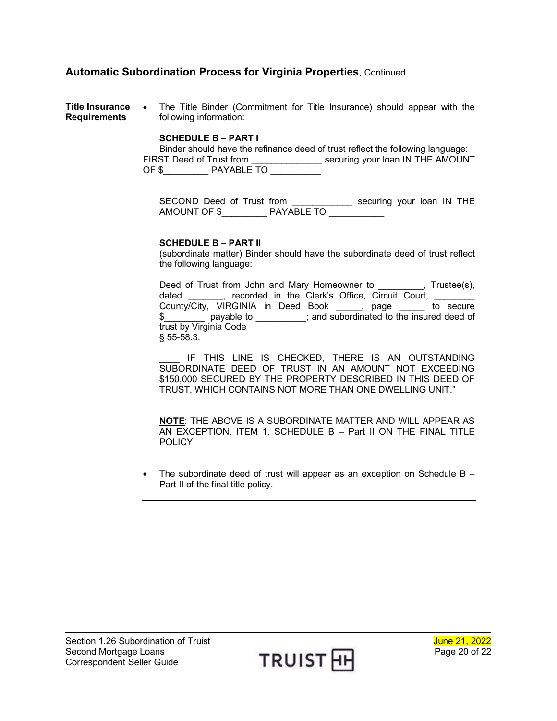### **Automatic Subordination Process for Virginia Properties**, Continued

<span id="page-19-0"></span>**Title Insurance**  • The Title Binder (Commitment for Title Insurance) should appear with the **Requirements** following information:

#### **SCHEDULE B – PART I**

Binder should have the refinance deed of trust reflect the following language: FIRST Deed of Trust from \_\_\_\_\_\_\_\_\_\_\_\_\_\_ securing your loan IN THE AMOUNT OF \$\_\_\_\_\_\_\_\_\_ PAYABLE TO \_\_\_\_\_\_\_\_\_\_

SECOND Deed of Trust from \_\_\_\_\_\_\_\_\_\_\_\_ securing your loan IN THE AMOUNT OF \$\_\_\_\_\_\_\_\_\_ PAYABLE TO \_\_\_\_\_\_\_\_\_\_\_

#### **SCHEDULE B – PART II**

(subordinate matter) Binder should have the subordinate deed of trust reflect the following language:

Deed of Trust from John and Mary Homeowner to \_\_\_\_\_\_\_\_\_, Trustee(s), dated \_\_\_\_\_\_, recorded in the Clerk's Office, Circuit Court, \_\_\_\_\_\_ County/City, VIRGINIA in Deed Book \_\_\_\_\_, page \_\_\_\_\_ to secure \$\_\_\_\_\_\_\_, payable to \_\_\_\_\_\_\_\_\_; and subordinated to the insured deed of trust by Virginia Code § 55-58.3.

IF THIS LINE IS CHECKED, THERE IS AN OUTSTANDING SUBORDINATE DEED OF TRUST IN AN AMOUNT NOT EXCEEDING \$150,000 SECURED BY THE PROPERTY DESCRIBED IN THIS DEED OF TRUST, WHICH CONTAINS NOT MORE THAN ONE DWELLING UNIT."

**NOTE**: THE ABOVE IS A SUBORDINATE MATTER AND WILL APPEAR AS AN EXCEPTION, ITEM 1, SCHEDULE B – Part II ON THE FINAL TITLE POLICY.

• The subordinate deed of trust will appear as an exception on Schedule  $B -$ Part II of the final title policy.

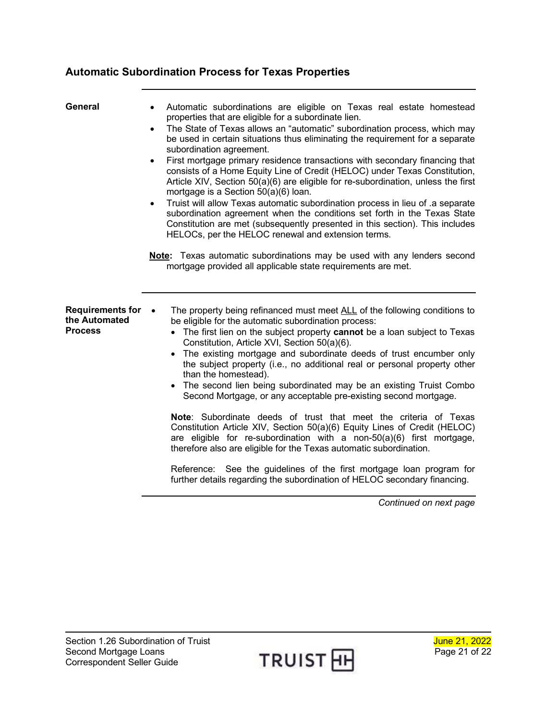## <span id="page-20-0"></span>**Automatic Subordination Process for Texas Properties**

<span id="page-20-2"></span><span id="page-20-1"></span>

| General                                                    | Automatic subordinations are eligible on Texas real estate homestead<br>properties that are eligible for a subordinate lien.<br>The State of Texas allows an "automatic" subordination process, which may<br>$\bullet$<br>be used in certain situations thus eliminating the requirement for a separate<br>subordination agreement.<br>First mortgage primary residence transactions with secondary financing that<br>$\bullet$<br>consists of a Home Equity Line of Credit (HELOC) under Texas Constitution,<br>Article XIV, Section 50(a)(6) are eligible for re-subordination, unless the first<br>mortgage is a Section 50(a)(6) loan.<br>Truist will allow Texas automatic subordination process in lieu of .a separate<br>$\bullet$<br>subordination agreement when the conditions set forth in the Texas State<br>Constitution are met (subsequently presented in this section). This includes<br>HELOCs, per the HELOC renewal and extension terms.<br>Note: Texas automatic subordinations may be used with any lenders second<br>mortgage provided all applicable state requirements are met. |
|------------------------------------------------------------|---------------------------------------------------------------------------------------------------------------------------------------------------------------------------------------------------------------------------------------------------------------------------------------------------------------------------------------------------------------------------------------------------------------------------------------------------------------------------------------------------------------------------------------------------------------------------------------------------------------------------------------------------------------------------------------------------------------------------------------------------------------------------------------------------------------------------------------------------------------------------------------------------------------------------------------------------------------------------------------------------------------------------------------------------------------------------------------------------------|
| <b>Requirements for</b><br>the Automated<br><b>Process</b> | The property being refinanced must meet ALL of the following conditions to<br>$\bullet$<br>be eligible for the automatic subordination process:<br>• The first lien on the subject property cannot be a loan subject to Texas<br>Constitution, Article XVI, Section 50(a)(6).<br>The existing mortgage and subordinate deeds of trust encumber only<br>the subject property (i.e., no additional real or personal property other<br>than the homestead).<br>• The second lien being subordinated may be an existing Truist Combo<br>Second Mortgage, or any acceptable pre-existing second mortgage.<br>Note: Subordinate deeds of trust that meet the criteria of Texas<br>Constitution Article XIV, Section 50(a)(6) Equity Lines of Credit (HELOC)<br>are eligible for re-subordination with a non- $50(a)(6)$ first mortgage,<br>therefore also are eligible for the Texas automatic subordination.<br>Reference: See the guidelines of the first mortgage loan program for<br>further details regarding the subordination of HELOC secondary financing.<br>Continued on next page                  |